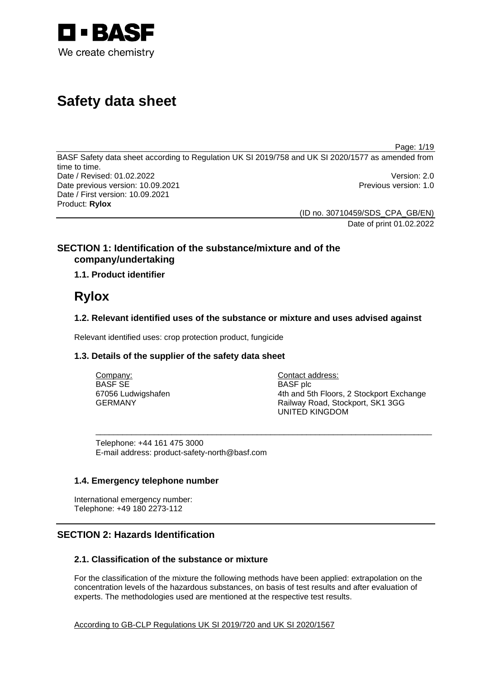

# **Safety data sheet**

Page: 1/19

BASF Safety data sheet according to Regulation UK SI 2019/758 and UK SI 2020/1577 as amended from time to time. Date / Revised: 01.02.2022 Version: 2.0 Date previous version: 10.09.2021 **Previous version: 1.0** Previous version: 1.0 Date / First version: 10.09.2021 Product: **Rylox** 

> (ID no. 30710459/SDS\_CPA\_GB/EN) Date of print 01.02.2022

# **SECTION 1: Identification of the substance/mixture and of the company/undertaking**

**1.1. Product identifier**

# **Rylox**

# **1.2. Relevant identified uses of the substance or mixture and uses advised against**

\_\_\_\_\_\_\_\_\_\_\_\_\_\_\_\_\_\_\_\_\_\_\_\_\_\_\_\_\_\_\_\_\_\_\_\_\_\_\_\_\_\_\_\_\_\_\_\_\_\_\_\_\_\_\_\_\_\_\_\_\_\_\_\_\_\_\_\_\_\_\_\_\_\_\_

Relevant identified uses: crop protection product, fungicide

## **1.3. Details of the supplier of the safety data sheet**

Company: BASF SE 67056 Ludwigshafen GERMANY

Contact address: BASF plc 4th and 5th Floors, 2 Stockport Exchange Railway Road, Stockport, SK1 3GG UNITED KINGDOM

Telephone: +44 161 475 3000 E-mail address: product-safety-north@basf.com

## **1.4. Emergency telephone number**

International emergency number: Telephone: +49 180 2273-112

# **SECTION 2: Hazards Identification**

# **2.1. Classification of the substance or mixture**

For the classification of the mixture the following methods have been applied: extrapolation on the concentration levels of the hazardous substances, on basis of test results and after evaluation of experts. The methodologies used are mentioned at the respective test results.

According to GB-CLP Regulations UK SI 2019/720 and UK SI 2020/1567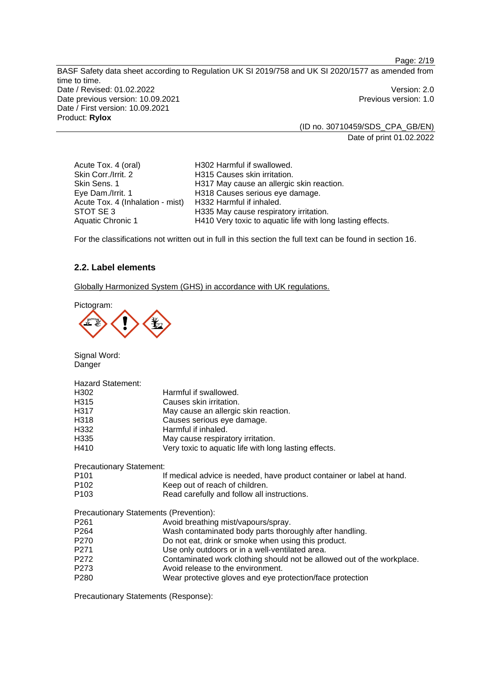BASF Safety data sheet according to Regulation UK SI 2019/758 and UK SI 2020/1577 as amended from time to time. Date / Revised: 01.02.2022 Version: 2.0 Date previous version: 10.09.2021 **Previous version: 1.0** Date / First version: 10.09.2021 Product: **Rylox** 

> (ID no. 30710459/SDS\_CPA\_GB/EN) Date of print 01.02.2022

Acute Tox. 4 (oral) H302 Harmful if swallowed. Skin Corr./Irrit. 2 H315 Causes skin irritation.<br>Skin Sens. 1 H317 May cause an allergic Skin Sens. 1 **H317 May cause an allergic skin reaction.**<br>Eve Dam./Irrit. 1 **H318 Causes serious eve damage.** H318 Causes serious eye damage. Acute Tox. 4 (Inhalation - mist) H332 Harmful if inhaled.<br>STOT SE 3 H335 May cause respira STOT SE 3 H335 May cause respiratory irritation.<br>Aquatic Chronic 1 H410 Very toxic to aquatic life with lon H410 Very toxic to aquatic life with long lasting effects.

For the classifications not written out in full in this section the full text can be found in section 16.

## **2.2. Label elements**

Globally Harmonized System (GHS) in accordance with UK regulations.

Pictogram:

Signal Word: Danger

| <b>Hazard Statement:</b>               |                                                                        |
|----------------------------------------|------------------------------------------------------------------------|
| H <sub>302</sub>                       | Harmful if swallowed.                                                  |
| H <sub>3</sub> 15                      | Causes skin irritation.                                                |
| H317                                   | May cause an allergic skin reaction.                                   |
| H318                                   | Causes serious eye damage.                                             |
| H332                                   | Harmful if inhaled.                                                    |
| H <sub>335</sub>                       | May cause respiratory irritation.                                      |
| H410                                   | Very toxic to aquatic life with long lasting effects.                  |
| <b>Precautionary Statement:</b>        |                                                                        |
| P <sub>101</sub>                       | If medical advice is needed, have product container or label at hand.  |
| P <sub>102</sub>                       | Keep out of reach of children.                                         |
| P <sub>103</sub>                       | Read carefully and follow all instructions.                            |
| Precautionary Statements (Prevention): |                                                                        |
| P261                                   | Avoid breathing mist/vapours/spray.                                    |
| P <sub>264</sub>                       | Wash contaminated body parts thoroughly after handling.                |
| P <sub>270</sub>                       | Do not eat, drink or smoke when using this product.                    |
| P <sub>271</sub>                       | Use only outdoors or in a well-ventilated area.                        |
| P <sub>272</sub>                       | Contaminated work clothing should not be allowed out of the workplace. |
| P273                                   | Avoid release to the environment.                                      |
| P <sub>280</sub>                       | Wear protective gloves and eye protection/face protection              |

Precautionary Statements (Response):

Page: 2/19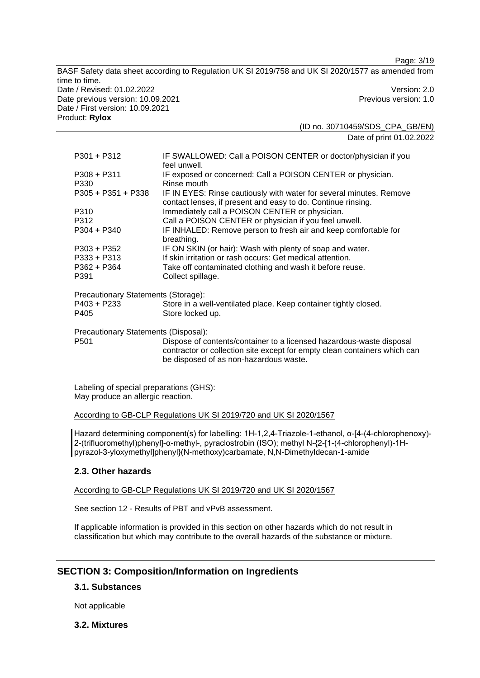BASF Safety data sheet according to Regulation UK SI 2019/758 and UK SI 2020/1577 as amended from time to time. Date / Revised: 01.02.2022 Version: 2.0 Date previous version: 10.09.2021 **Previous version: 1.0** Previous version: 1.0 Date / First version: 10.09.2021 Product: **Rylox** 

(ID no. 30710459/SDS\_CPA\_GB/EN) Date of print 01.02.2022

Page: 3/19

| $P301 + P312$                        | IF SWALLOWED: Call a POISON CENTER or doctor/physician if you<br>feel unwell.                                                                                                               |
|--------------------------------------|---------------------------------------------------------------------------------------------------------------------------------------------------------------------------------------------|
| $P308 + P311$<br>P330                | IF exposed or concerned: Call a POISON CENTER or physician.<br>Rinse mouth                                                                                                                  |
| $P305 + P351 + P338$                 | IF IN EYES: Rinse cautiously with water for several minutes. Remove<br>contact lenses, if present and easy to do. Continue rinsing.                                                         |
| P310                                 | Immediately call a POISON CENTER or physician.                                                                                                                                              |
| P312                                 | Call a POISON CENTER or physician if you feel unwell.                                                                                                                                       |
| $P304 + P340$                        | IF INHALED: Remove person to fresh air and keep comfortable for<br>breathing.                                                                                                               |
| P303 + P352                          | IF ON SKIN (or hair): Wash with plenty of soap and water.                                                                                                                                   |
| P333 + P313                          | If skin irritation or rash occurs: Get medical attention.                                                                                                                                   |
| $P362 + P364$                        | Take off contaminated clothing and wash it before reuse.                                                                                                                                    |
| P391                                 | Collect spillage.                                                                                                                                                                           |
| Precautionary Statements (Storage):  |                                                                                                                                                                                             |
| P403 + P233                          | Store in a well-ventilated place. Keep container tightly closed.                                                                                                                            |
| P405                                 | Store locked up.                                                                                                                                                                            |
| Precautionary Statements (Disposal): |                                                                                                                                                                                             |
| P <sub>501</sub>                     | Dispose of contents/container to a licensed hazardous-waste disposal<br>contractor or collection site except for empty clean containers which can<br>be disposed of as non-hazardous waste. |

Labeling of special preparations (GHS): May produce an allergic reaction.

According to GB-CLP Regulations UK SI 2019/720 and UK SI 2020/1567

Hazard determining component(s) for labelling: 1H-1,2,4-Triazole-1-ethanol, α-[4-(4-chlorophenoxy)- 2-(trifluoromethyl)phenyl]-α-methyl-, pyraclostrobin (ISO); methyl N-{2-[1-(4-chlorophenyl)-1Hpyrazol-3-yloxymethyl]phenyl}(N-methoxy)carbamate, N,N-Dimethyldecan-1-amide

# **2.3. Other hazards**

According to GB-CLP Regulations UK SI 2019/720 and UK SI 2020/1567

See section 12 - Results of PBT and vPvB assessment.

If applicable information is provided in this section on other hazards which do not result in classification but which may contribute to the overall hazards of the substance or mixture.

# **SECTION 3: Composition/Information on Ingredients**

## **3.1. Substances**

Not applicable

## **3.2. Mixtures**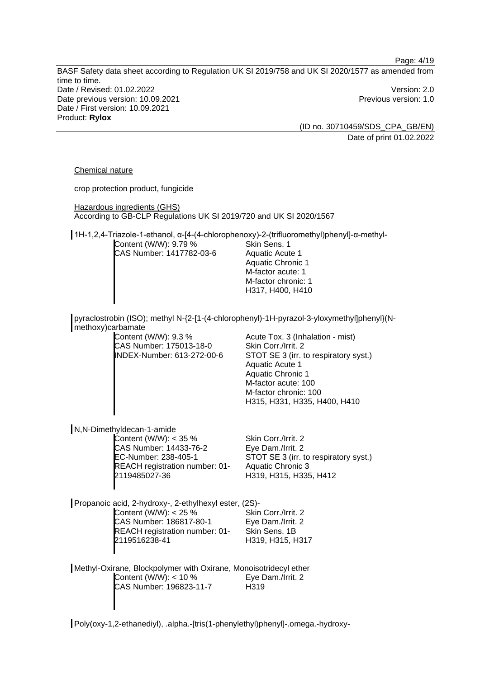Page: 4/19

BASF Safety data sheet according to Regulation UK SI 2019/758 and UK SI 2020/1577 as amended from time to time. Date / Revised: 01.02.2022 Version: 2.0 Date previous version: 10.09.2021 **Date previous version: 1.0** Date / First version: 10.09.2021 Product: **Rylox** 

(ID no. 30710459/SDS\_CPA\_GB/EN) Date of print 01.02.2022

#### Chemical nature

crop protection product, fungicide Hazardous ingredients (GHS) According to GB-CLP Regulations UK SI 2019/720 and UK SI 2020/1567 1H-1,2,4-Triazole-1-ethanol, α-[4-(4-chlorophenoxy)-2-(trifluoromethyl)phenyl]-α-methyl-Content (W/W): 9.79 % CAS Number: 1417782-03-6 Skin Sens. 1 Aquatic Acute 1 Aquatic Chronic 1 M-factor acute: 1 M-factor chronic: 1 H317, H400, H410 pyraclostrobin (ISO); methyl N-{2-[1-(4-chlorophenyl)-1H-pyrazol-3-yloxymethyl]phenyl}(Nmethoxy)carbamate Content (W/W): 9.3 % CAS Number: 175013-18-0 INDEX-Number: 613-272-00-6 Acute Tox. 3 (Inhalation - mist) Skin Corr./Irrit. 2 STOT SE 3 (irr. to respiratory syst.) Aquatic Acute 1 Aquatic Chronic 1 M-factor acute: 100 M-factor chronic: 100 H315, H331, H335, H400, H410 N,N-Dimethyldecan-1-amide Content (W/W): < 35 % CAS Number: 14433-76-2 EC-Number: 238-405-1 REACH registration number: 01- 2119485027-36 Skin Corr./Irrit. 2 Eye Dam./Irrit. 2 STOT SE 3 (irr. to respiratory syst.) Aquatic Chronic 3 H319, H315, H335, H412 Propanoic acid, 2-hydroxy-, 2-ethylhexyl ester, (2S)- Content (W/W):  $< 25\%$ CAS Number: 186817-80-1 REACH registration number: 01- 2119516238-41 Skin Corr./Irrit. 2 Eye Dam./Irrit. 2 Skin Sens. 1B H319, H315, H317 Methyl-Oxirane, Blockpolymer with Oxirane, Monoisotridecyl ether Content (W/W): < 10 % CAS Number: 196823-11-7 Eye Dam./Irrit. 2 H319

Poly(oxy-1,2-ethanediyl), .alpha.-[tris(1-phenylethyl)phenyl]-.omega.-hydroxy-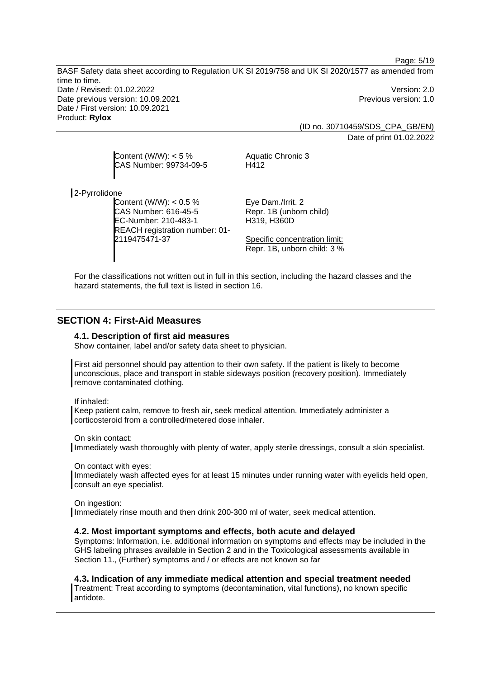BASF Safety data sheet according to Regulation UK SI 2019/758 and UK SI 2020/1577 as amended from time to time. Date / Revised: 01.02.2022 Version: 2.0 Date previous version: 10.09.2021 **Date previous version: 1.0** Date / First version: 10.09.2021 Product: **Rylox** 

> (ID no. 30710459/SDS\_CPA\_GB/EN) Date of print 01.02.2022

Page: 5/19

Content  $(W/W)$ : < 5 % CAS Number: 99734-09-5 Aquatic Chronic 3 H412

2-Pyrrolidone

Content (W/W): < 0.5 % CAS Number: 616-45-5 EC-Number: 210-483-1 REACH registration number: 01- 2119475471-37

Eye Dam./Irrit. 2 Repr. 1B (unborn child) H319, H360D

Specific concentration limit: Repr. 1B, unborn child: 3 %

For the classifications not written out in full in this section, including the hazard classes and the hazard statements, the full text is listed in section 16.

# **SECTION 4: First-Aid Measures**

#### **4.1. Description of first aid measures**

Show container, label and/or safety data sheet to physician.

First aid personnel should pay attention to their own safety. If the patient is likely to become unconscious, place and transport in stable sideways position (recovery position). Immediately remove contaminated clothing.

If inhaled:

Keep patient calm, remove to fresh air, seek medical attention. Immediately administer a corticosteroid from a controlled/metered dose inhaler.

On skin contact: Immediately wash thoroughly with plenty of water, apply sterile dressings, consult a skin specialist.

On contact with eyes:

Immediately wash affected eyes for at least 15 minutes under running water with eyelids held open, consult an eye specialist.

#### On ingestion:

Immediately rinse mouth and then drink 200-300 ml of water, seek medical attention.

#### **4.2. Most important symptoms and effects, both acute and delayed**

Symptoms: Information, i.e. additional information on symptoms and effects may be included in the GHS labeling phrases available in Section 2 and in the Toxicological assessments available in Section 11., (Further) symptoms and / or effects are not known so far

**4.3. Indication of any immediate medical attention and special treatment needed** 

Treatment: Treat according to symptoms (decontamination, vital functions), no known specific antidote.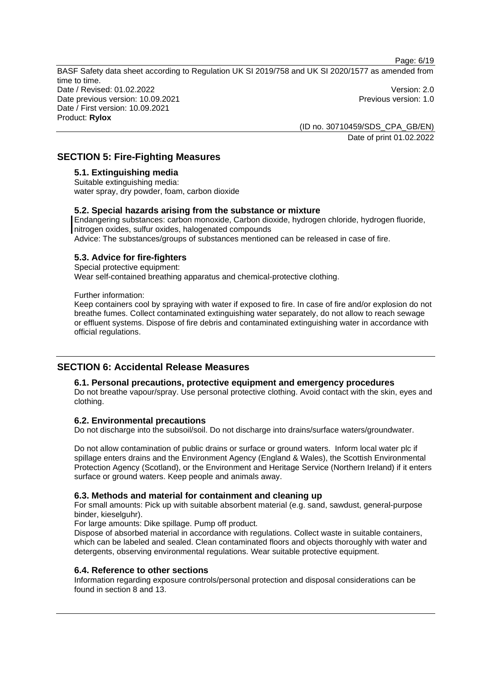Page: 6/19

BASF Safety data sheet according to Regulation UK SI 2019/758 and UK SI 2020/1577 as amended from time to time. Date / Revised: 01.02.2022 Version: 2.0 Date previous version: 10.09.2021 **Date previous version: 1.0** Date / First version: 10.09.2021 Product: **Rylox** 

(ID no. 30710459/SDS\_CPA\_GB/EN) Date of print 01.02.2022

# **SECTION 5: Fire-Fighting Measures**

## **5.1. Extinguishing media**

Suitable extinguishing media: water spray, dry powder, foam, carbon dioxide

## **5.2. Special hazards arising from the substance or mixture**

Endangering substances: carbon monoxide, Carbon dioxide, hydrogen chloride, hydrogen fluoride, nitrogen oxides, sulfur oxides, halogenated compounds Advice: The substances/groups of substances mentioned can be released in case of fire.

## **5.3. Advice for fire-fighters**

Special protective equipment:

Wear self-contained breathing apparatus and chemical-protective clothing.

## Further information:

Keep containers cool by spraying with water if exposed to fire. In case of fire and/or explosion do not breathe fumes. Collect contaminated extinguishing water separately, do not allow to reach sewage or effluent systems. Dispose of fire debris and contaminated extinguishing water in accordance with official regulations.

# **SECTION 6: Accidental Release Measures**

## **6.1. Personal precautions, protective equipment and emergency procedures**

Do not breathe vapour/spray. Use personal protective clothing. Avoid contact with the skin, eyes and clothing.

## **6.2. Environmental precautions**

Do not discharge into the subsoil/soil. Do not discharge into drains/surface waters/groundwater.

Do not allow contamination of public drains or surface or ground waters. Inform local water plc if spillage enters drains and the Environment Agency (England & Wales), the Scottish Environmental Protection Agency (Scotland), or the Environment and Heritage Service (Northern Ireland) if it enters surface or ground waters. Keep people and animals away.

## **6.3. Methods and material for containment and cleaning up**

For small amounts: Pick up with suitable absorbent material (e.g. sand, sawdust, general-purpose binder, kieselguhr).

For large amounts: Dike spillage. Pump off product.

Dispose of absorbed material in accordance with regulations. Collect waste in suitable containers, which can be labeled and sealed. Clean contaminated floors and objects thoroughly with water and detergents, observing environmental regulations. Wear suitable protective equipment.

## **6.4. Reference to other sections**

Information regarding exposure controls/personal protection and disposal considerations can be found in section 8 and 13.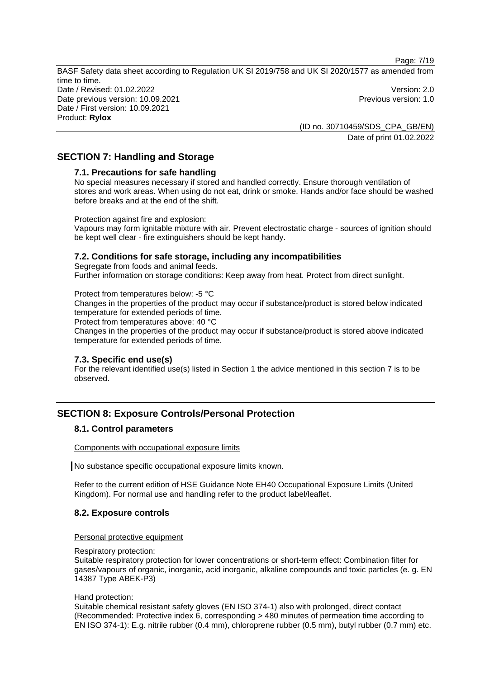Page: 7/19

BASF Safety data sheet according to Regulation UK SI 2019/758 and UK SI 2020/1577 as amended from time to time. Date / Revised: 01.02.2022 Version: 2.0 Date previous version: 10.09.2021 **Date previous version: 1.0** Date / First version: 10.09.2021 Product: **Rylox** 

> (ID no. 30710459/SDS\_CPA\_GB/EN) Date of print 01.02.2022

# **SECTION 7: Handling and Storage**

#### **7.1. Precautions for safe handling**

No special measures necessary if stored and handled correctly. Ensure thorough ventilation of stores and work areas. When using do not eat, drink or smoke. Hands and/or face should be washed before breaks and at the end of the shift.

Protection against fire and explosion:

Vapours may form ignitable mixture with air. Prevent electrostatic charge - sources of ignition should be kept well clear - fire extinguishers should be kept handy.

## **7.2. Conditions for safe storage, including any incompatibilities**

Segregate from foods and animal feeds. Further information on storage conditions: Keep away from heat. Protect from direct sunlight.

Protect from temperatures below: -5 °C

Changes in the properties of the product may occur if substance/product is stored below indicated temperature for extended periods of time.

Protect from temperatures above: 40 °C

Changes in the properties of the product may occur if substance/product is stored above indicated temperature for extended periods of time.

#### **7.3. Specific end use(s)**

For the relevant identified use(s) listed in Section 1 the advice mentioned in this section 7 is to be observed.

# **SECTION 8: Exposure Controls/Personal Protection**

## **8.1. Control parameters**

Components with occupational exposure limits

No substance specific occupational exposure limits known.

Refer to the current edition of HSE Guidance Note EH40 Occupational Exposure Limits (United Kingdom). For normal use and handling refer to the product label/leaflet.

## **8.2. Exposure controls**

Personal protective equipment

Respiratory protection:

Suitable respiratory protection for lower concentrations or short-term effect: Combination filter for gases/vapours of organic, inorganic, acid inorganic, alkaline compounds and toxic particles (e. g. EN 14387 Type ABEK-P3)

#### Hand protection:

Suitable chemical resistant safety gloves (EN ISO 374-1) also with prolonged, direct contact (Recommended: Protective index 6, corresponding > 480 minutes of permeation time according to EN ISO 374-1): E.g. nitrile rubber (0.4 mm), chloroprene rubber (0.5 mm), butyl rubber (0.7 mm) etc.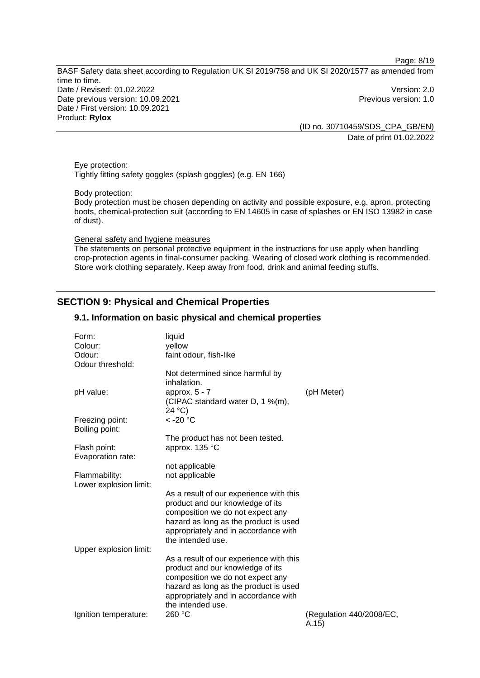Page: 8/19

BASF Safety data sheet according to Regulation UK SI 2019/758 and UK SI 2020/1577 as amended from time to time. Date / Revised: 01.02.2022 Version: 2.0 Date previous version: 10.09.2021 **Previous version: 1.0** Previous version: 1.0 Date / First version: 10.09.2021 Product: **Rylox** 

(ID no. 30710459/SDS\_CPA\_GB/EN) Date of print 01.02.2022

Eye protection: Tightly fitting safety goggles (splash goggles) (e.g. EN 166)

Body protection:

Body protection must be chosen depending on activity and possible exposure, e.g. apron, protecting boots, chemical-protection suit (according to EN 14605 in case of splashes or EN ISO 13982 in case of dust).

General safety and hygiene measures

The statements on personal protective equipment in the instructions for use apply when handling crop-protection agents in final-consumer packing. Wearing of closed work clothing is recommended. Store work clothing separately. Keep away from food, drink and animal feeding stuffs.

# **SECTION 9: Physical and Chemical Properties**

#### **9.1. Information on basic physical and chemical properties**

| Form:<br>Colour:<br>Odour:              | liquid<br>yellow<br>faint odour, fish-like                                                                                                                                                                            |                                    |
|-----------------------------------------|-----------------------------------------------------------------------------------------------------------------------------------------------------------------------------------------------------------------------|------------------------------------|
| Odour threshold:                        |                                                                                                                                                                                                                       |                                    |
|                                         | Not determined since harmful by<br>inhalation.                                                                                                                                                                        |                                    |
| pH value:                               | approx. $5 - 7$<br>(CIPAC standard water D, 1 %(m),<br>24 °C                                                                                                                                                          | (pH Meter)                         |
| Freezing point:<br>Boiling point:       | $<$ -20 $^{\circ}$ C                                                                                                                                                                                                  |                                    |
|                                         | The product has not been tested.                                                                                                                                                                                      |                                    |
| Flash point:<br>Evaporation rate:       | approx. 135 °C                                                                                                                                                                                                        |                                    |
|                                         | not applicable                                                                                                                                                                                                        |                                    |
| Flammability:<br>Lower explosion limit: | not applicable                                                                                                                                                                                                        |                                    |
|                                         | As a result of our experience with this<br>product and our knowledge of its<br>composition we do not expect any<br>hazard as long as the product is used<br>appropriately and in accordance with<br>the intended use. |                                    |
| Upper explosion limit:                  |                                                                                                                                                                                                                       |                                    |
|                                         | As a result of our experience with this<br>product and our knowledge of its<br>composition we do not expect any<br>hazard as long as the product is used<br>appropriately and in accordance with<br>the intended use. |                                    |
| Ignition temperature:                   | 260 °C                                                                                                                                                                                                                | (Regulation 440/2008/EC,<br>(A.15) |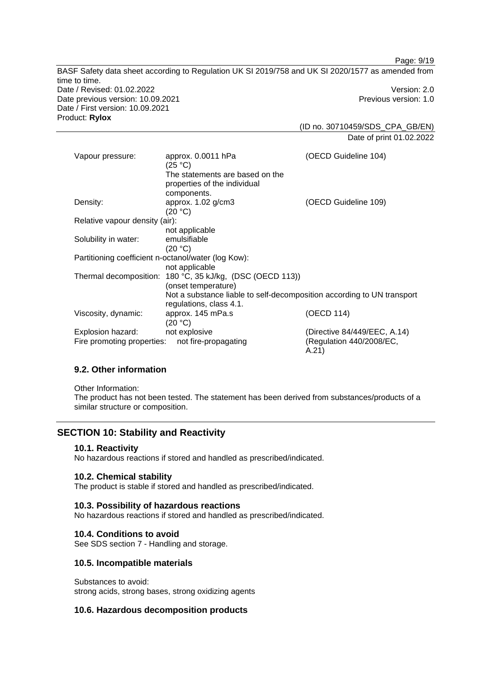BASF Safety data sheet according to Regulation UK SI 2019/758 and UK SI 2020/1577 as amended from time to time. Date / Revised: 01.02.2022 Version: 2.0 Date previous version: 10.09.2021 **Previous version: 1.0** Previous version: 1.0 Date / First version: 10.09.2021 Product: **Rylox**  (ID no. 30710459/SDS\_CPA\_GB/EN)

Date of print 01.02.2022

Page: 9/19

|                                                     | approx. 0.0011 hPa                                                     | (OECD Guideline 104)              |  |  |
|-----------------------------------------------------|------------------------------------------------------------------------|-----------------------------------|--|--|
| Vapour pressure:                                    | (25 °C)                                                                |                                   |  |  |
|                                                     | The statements are based on the                                        |                                   |  |  |
|                                                     | properties of the individual                                           |                                   |  |  |
|                                                     | components.                                                            |                                   |  |  |
| Density:                                            | approx. $1.02$ g/cm3                                                   | (OECD Guideline 109)              |  |  |
|                                                     | (20 °C)                                                                |                                   |  |  |
| Relative vapour density (air):                      |                                                                        |                                   |  |  |
|                                                     | not applicable                                                         |                                   |  |  |
| Solubility in water:                                | emulsifiable                                                           |                                   |  |  |
|                                                     | (20 °C)                                                                |                                   |  |  |
| Partitioning coefficient n-octanol/water (log Kow): |                                                                        |                                   |  |  |
|                                                     | not applicable                                                         |                                   |  |  |
|                                                     | Thermal decomposition: 180 °C, 35 kJ/kg, (DSC (OECD 113))              |                                   |  |  |
|                                                     | (onset temperature)                                                    |                                   |  |  |
|                                                     | Not a substance liable to self-decomposition according to UN transport |                                   |  |  |
|                                                     | regulations, class 4.1.                                                |                                   |  |  |
| Viscosity, dynamic:                                 | approx. 145 mPa.s                                                      | (OECD 114)                        |  |  |
|                                                     | (20 °C)                                                                |                                   |  |  |
| Explosion hazard:                                   | not explosive                                                          | (Directive 84/449/EEC, A.14)      |  |  |
| Fire promoting properties:                          | not fire-propagating                                                   | (Regulation 440/2008/EC,<br>A.21) |  |  |

## **9.2. Other information**

Other Information:

The product has not been tested. The statement has been derived from substances/products of a similar structure or composition.

# **SECTION 10: Stability and Reactivity**

#### **10.1. Reactivity**

No hazardous reactions if stored and handled as prescribed/indicated.

#### **10.2. Chemical stability**

The product is stable if stored and handled as prescribed/indicated.

#### **10.3. Possibility of hazardous reactions**

No hazardous reactions if stored and handled as prescribed/indicated.

#### **10.4. Conditions to avoid**

See SDS section 7 - Handling and storage.

#### **10.5. Incompatible materials**

Substances to avoid: strong acids, strong bases, strong oxidizing agents

## **10.6. Hazardous decomposition products**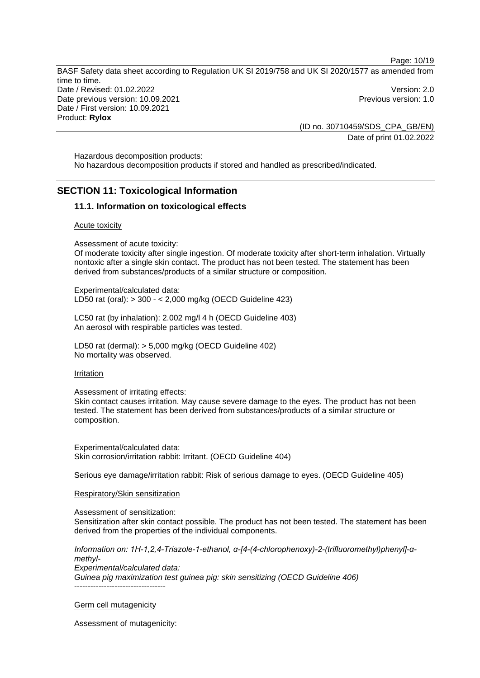Page: 10/19 BASF Safety data sheet according to Regulation UK SI 2019/758 and UK SI 2020/1577 as amended from time to time. Date / Revised: 01.02.2022 Version: 2.0 Date previous version: 10.09.2021 **Date previous version: 1.0** Date / First version: 10.09.2021 Product: **Rylox** 

> (ID no. 30710459/SDS\_CPA\_GB/EN) Date of print 01.02.2022

Hazardous decomposition products: No hazardous decomposition products if stored and handled as prescribed/indicated.

## **SECTION 11: Toxicological Information**

#### **11.1. Information on toxicological effects**

#### Acute toxicity

Assessment of acute toxicity:

Of moderate toxicity after single ingestion. Of moderate toxicity after short-term inhalation. Virtually nontoxic after a single skin contact. The product has not been tested. The statement has been derived from substances/products of a similar structure or composition.

Experimental/calculated data: LD50 rat (oral): > 300 - < 2,000 mg/kg (OECD Guideline 423)

LC50 rat (by inhalation): 2.002 mg/l 4 h (OECD Guideline 403) An aerosol with respirable particles was tested.

LD50 rat (dermal): > 5,000 mg/kg (OECD Guideline 402) No mortality was observed.

#### Irritation

Assessment of irritating effects:

Skin contact causes irritation. May cause severe damage to the eyes. The product has not been tested. The statement has been derived from substances/products of a similar structure or composition.

Experimental/calculated data: Skin corrosion/irritation rabbit: Irritant. (OECD Guideline 404)

Serious eye damage/irritation rabbit: Risk of serious damage to eyes. (OECD Guideline 405)

#### Respiratory/Skin sensitization

Assessment of sensitization:

Sensitization after skin contact possible. The product has not been tested. The statement has been derived from the properties of the individual components.

*Information on: 1H-1,2,4-Triazole-1-ethanol, α-[4-(4-chlorophenoxy)-2-(trifluoromethyl)phenyl]-αmethyl-Experimental/calculated data: Guinea pig maximization test guinea pig: skin sensitizing (OECD Guideline 406)* ----------------------------------

#### Germ cell mutagenicity

Assessment of mutagenicity: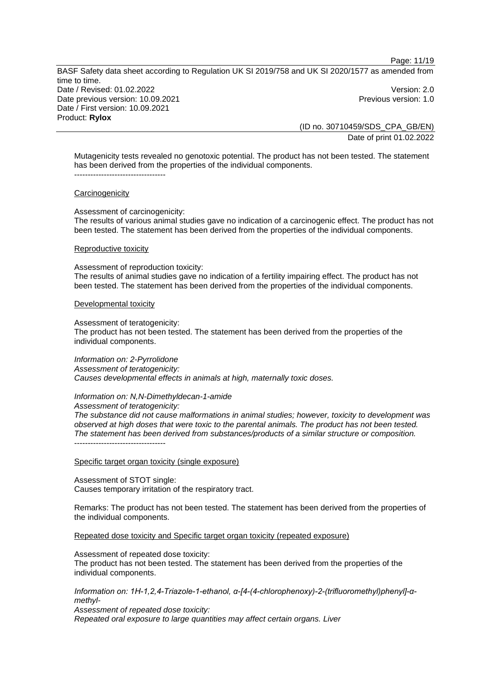Page: 11/19

BASF Safety data sheet according to Regulation UK SI 2019/758 and UK SI 2020/1577 as amended from time to time. Date / Revised: 01.02.2022 Version: 2.0 Date previous version: 10.09.2021 **Date previous version: 1.0** Date / First version: 10.09.2021 Product: **Rylox** 

(ID no. 30710459/SDS\_CPA\_GB/EN) Date of print 01.02.2022

Mutagenicity tests revealed no genotoxic potential. The product has not been tested. The statement has been derived from the properties of the individual components. ----------------------------------

#### **Carcinogenicity**

Assessment of carcinogenicity:

The results of various animal studies gave no indication of a carcinogenic effect. The product has not been tested. The statement has been derived from the properties of the individual components.

#### Reproductive toxicity

Assessment of reproduction toxicity:

The results of animal studies gave no indication of a fertility impairing effect. The product has not been tested. The statement has been derived from the properties of the individual components.

#### Developmental toxicity

Assessment of teratogenicity:

The product has not been tested. The statement has been derived from the properties of the individual components.

*Information on: 2-Pyrrolidone Assessment of teratogenicity: Causes developmental effects in animals at high, maternally toxic doses.* 

#### *Information on: N,N-Dimethyldecan-1-amide*

*Assessment of teratogenicity:* 

*The substance did not cause malformations in animal studies; however, toxicity to development was observed at high doses that were toxic to the parental animals. The product has not been tested. The statement has been derived from substances/products of a similar structure or composition.*   $-$ 

Specific target organ toxicity (single exposure)

Assessment of STOT single: Causes temporary irritation of the respiratory tract.

Remarks: The product has not been tested. The statement has been derived from the properties of the individual components.

Repeated dose toxicity and Specific target organ toxicity (repeated exposure)

Assessment of repeated dose toxicity: The product has not been tested. The statement has been derived from the properties of the individual components.

*Information on: 1H-1,2,4-Triazole-1-ethanol, α-[4-(4-chlorophenoxy)-2-(trifluoromethyl)phenyl]-αmethyl-*

*Assessment of repeated dose toxicity: Repeated oral exposure to large quantities may affect certain organs. Liver*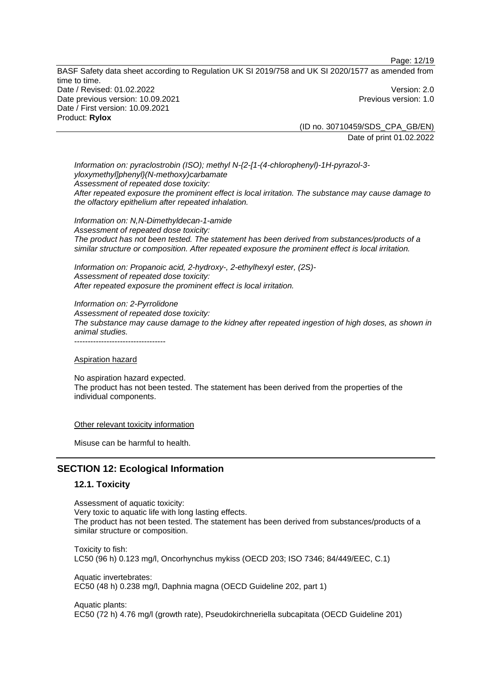Page: 12/19

BASF Safety data sheet according to Regulation UK SI 2019/758 and UK SI 2020/1577 as amended from time to time. Date / Revised: 01.02.2022 Version: 2.0 Date previous version: 10.09.2021 **Date previous version: 1.0** Date / First version: 10.09.2021 Product: **Rylox** 

(ID no. 30710459/SDS\_CPA\_GB/EN) Date of print 01.02.2022

*Information on: pyraclostrobin (ISO); methyl N-{2-[1-(4-chlorophenyl)-1H-pyrazol-3 yloxymethyl]phenyl}(N-methoxy)carbamate Assessment of repeated dose toxicity: After repeated exposure the prominent effect is local irritation. The substance may cause damage to the olfactory epithelium after repeated inhalation.* 

*Information on: N,N-Dimethyldecan-1-amide Assessment of repeated dose toxicity: The product has not been tested. The statement has been derived from substances/products of a similar structure or composition. After repeated exposure the prominent effect is local irritation.* 

*Information on: Propanoic acid, 2-hydroxy-, 2-ethylhexyl ester, (2S)- Assessment of repeated dose toxicity: After repeated exposure the prominent effect is local irritation.* 

*Information on: 2-Pyrrolidone Assessment of repeated dose toxicity: The substance may cause damage to the kidney after repeated ingestion of high doses, as shown in animal studies.* 

----------------------------------

Aspiration hazard

No aspiration hazard expected. The product has not been tested. The statement has been derived from the properties of the individual components.

Other relevant toxicity information

Misuse can be harmful to health.

# **SECTION 12: Ecological Information**

#### **12.1. Toxicity**

Assessment of aquatic toxicity: Very toxic to aquatic life with long lasting effects. The product has not been tested. The statement has been derived from substances/products of a similar structure or composition.

Toxicity to fish: LC50 (96 h) 0.123 mg/l, Oncorhynchus mykiss (OECD 203; ISO 7346; 84/449/EEC, C.1)

Aquatic invertebrates: EC50 (48 h) 0.238 mg/l, Daphnia magna (OECD Guideline 202, part 1)

Aquatic plants: EC50 (72 h) 4.76 mg/l (growth rate), Pseudokirchneriella subcapitata (OECD Guideline 201)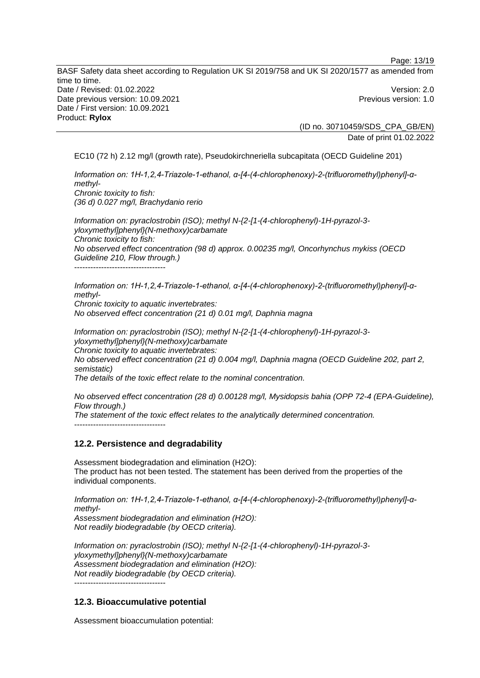BASF Safety data sheet according to Regulation UK SI 2019/758 and UK SI 2020/1577 as amended from time to time. Date / Revised: 01.02.2022 Version: 2.0 Date previous version: 10.09.2021 **Date previous version: 1.0** Date / First version: 10.09.2021 Product: **Rylox** 

(ID no. 30710459/SDS\_CPA\_GB/EN) Date of print 01.02.2022

Page: 13/19

EC10 (72 h) 2.12 mg/l (growth rate), Pseudokirchneriella subcapitata (OECD Guideline 201)

*Information on: 1H-1,2,4-Triazole-1-ethanol, α-[4-(4-chlorophenoxy)-2-(trifluoromethyl)phenyl]-αmethyl-Chronic toxicity to fish: (36 d) 0.027 mg/l, Brachydanio rerio* 

*Information on: pyraclostrobin (ISO); methyl N-{2-[1-(4-chlorophenyl)-1H-pyrazol-3 yloxymethyl]phenyl}(N-methoxy)carbamate Chronic toxicity to fish: No observed effect concentration (98 d) approx. 0.00235 mg/l, Oncorhynchus mykiss (OECD Guideline 210, Flow through.)*  ----------------------------------

*Information on: 1H-1,2,4-Triazole-1-ethanol, α-[4-(4-chlorophenoxy)-2-(trifluoromethyl)phenyl]-αmethyl-Chronic toxicity to aquatic invertebrates: No observed effect concentration (21 d) 0.01 mg/l, Daphnia magna* 

*Information on: pyraclostrobin (ISO); methyl N-{2-[1-(4-chlorophenyl)-1H-pyrazol-3 yloxymethyl]phenyl}(N-methoxy)carbamate Chronic toxicity to aquatic invertebrates: No observed effect concentration (21 d) 0.004 mg/l, Daphnia magna (OECD Guideline 202, part 2, semistatic) The details of the toxic effect relate to the nominal concentration.* 

*No observed effect concentration (28 d) 0.00128 mg/l, Mysidopsis bahia (OPP 72-4 (EPA-Guideline), Flow through.) The statement of the toxic effect relates to the analytically determined concentration.*  ----------------------------------

## **12.2. Persistence and degradability**

Assessment biodegradation and elimination (H2O): The product has not been tested. The statement has been derived from the properties of the individual components.

*Information on: 1H-1,2,4-Triazole-1-ethanol, α-[4-(4-chlorophenoxy)-2-(trifluoromethyl)phenyl]-αmethyl-Assessment biodegradation and elimination (H2O): Not readily biodegradable (by OECD criteria).* 

*Information on: pyraclostrobin (ISO); methyl N-{2-[1-(4-chlorophenyl)-1H-pyrazol-3 yloxymethyl]phenyl}(N-methoxy)carbamate Assessment biodegradation and elimination (H2O): Not readily biodegradable (by OECD criteria).*  ----------------------------------

## **12.3. Bioaccumulative potential**

Assessment bioaccumulation potential: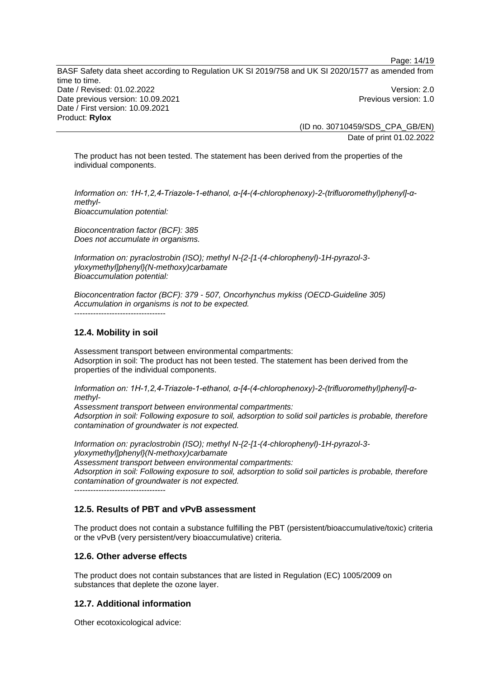BASF Safety data sheet according to Regulation UK SI 2019/758 and UK SI 2020/1577 as amended from time to time. Date / Revised: 01.02.2022 Version: 2.0 Date previous version: 10.09.2021 **Date previous version: 1.0** Date / First version: 10.09.2021 Product: **Rylox** 

(ID no. 30710459/SDS\_CPA\_GB/EN) Date of print 01.02.2022

Page: 14/19

The product has not been tested. The statement has been derived from the properties of the individual components.

*Information on: 1H-1,2,4-Triazole-1-ethanol, α-[4-(4-chlorophenoxy)-2-(trifluoromethyl)phenyl]-αmethyl-Bioaccumulation potential:* 

*Bioconcentration factor (BCF): 385 Does not accumulate in organisms.* 

*Information on: pyraclostrobin (ISO); methyl N-{2-[1-(4-chlorophenyl)-1H-pyrazol-3 yloxymethyl]phenyl}(N-methoxy)carbamate Bioaccumulation potential:* 

*Bioconcentration factor (BCF): 379 - 507, Oncorhynchus mykiss (OECD-Guideline 305) Accumulation in organisms is not to be expected.*  ----------------------------------

# **12.4. Mobility in soil**

Assessment transport between environmental compartments: Adsorption in soil: The product has not been tested. The statement has been derived from the properties of the individual components.

*Information on: 1H-1,2,4-Triazole-1-ethanol, α-[4-(4-chlorophenoxy)-2-(trifluoromethyl)phenyl]-αmethyl-*

*Assessment transport between environmental compartments: Adsorption in soil: Following exposure to soil, adsorption to solid soil particles is probable, therefore contamination of groundwater is not expected.*

*Information on: pyraclostrobin (ISO); methyl N-{2-[1-(4-chlorophenyl)-1H-pyrazol-3 yloxymethyl]phenyl}(N-methoxy)carbamate Assessment transport between environmental compartments: Adsorption in soil: Following exposure to soil, adsorption to solid soil particles is probable, therefore contamination of groundwater is not expected.*

----------------------------------

#### **12.5. Results of PBT and vPvB assessment**

The product does not contain a substance fulfilling the PBT (persistent/bioaccumulative/toxic) criteria or the vPvB (very persistent/very bioaccumulative) criteria.

## **12.6. Other adverse effects**

The product does not contain substances that are listed in Regulation (EC) 1005/2009 on substances that deplete the ozone layer.

#### **12.7. Additional information**

Other ecotoxicological advice: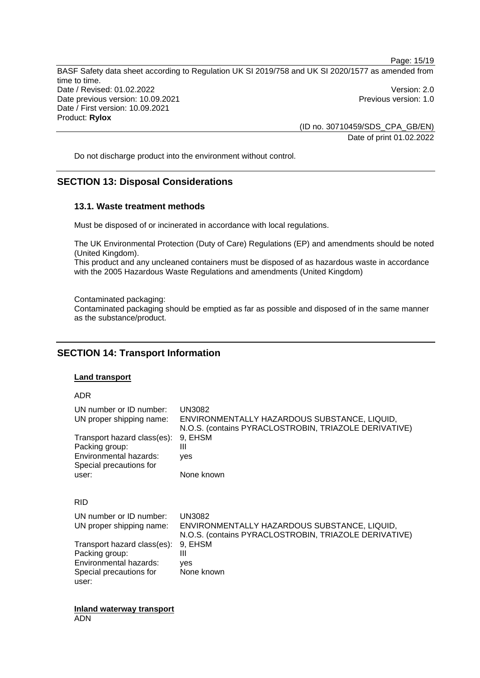BASF Safety data sheet according to Regulation UK SI 2019/758 and UK SI 2020/1577 as amended from time to time. Date / Revised: 01.02.2022 Version: 2.0 Date previous version: 10.09.2021 **Date previous version: 1.0** Date / First version: 10.09.2021 Product: **Rylox** 

> (ID no. 30710459/SDS\_CPA\_GB/EN) Date of print 01.02.2022

Page: 15/19

Do not discharge product into the environment without control.

# **SECTION 13: Disposal Considerations**

#### **13.1. Waste treatment methods**

Must be disposed of or incinerated in accordance with local regulations.

The UK Environmental Protection (Duty of Care) Regulations (EP) and amendments should be noted (United Kingdom).

This product and any uncleaned containers must be disposed of as hazardous waste in accordance with the 2005 Hazardous Waste Regulations and amendments (United Kingdom)

Contaminated packaging:

Contaminated packaging should be emptied as far as possible and disposed of in the same manner as the substance/product.

## **SECTION 14: Transport Information**

#### **Land transport**

#### ADR

| UN number or ID number:<br>UN proper shipping name:<br>Transport hazard class(es):<br>Packing group:<br>Environmental hazards:<br>Special precautions for<br>user: | <b>UN3082</b><br>ENVIRONMENTALLY HAZARDOUS SUBSTANCE, LIQUID,<br>N.O.S. (contains PYRACLOSTROBIN, TRIAZOLE DERIVATIVE)<br>9. EHSM<br>Ш<br>yes<br>None known |
|--------------------------------------------------------------------------------------------------------------------------------------------------------------------|-------------------------------------------------------------------------------------------------------------------------------------------------------------|
| <b>RID</b>                                                                                                                                                         |                                                                                                                                                             |
| UN number or ID number:<br>UN proper shipping name:                                                                                                                | UN3082<br>ENVIRONMENTALLY HAZARDOUS SUBSTANCE, LIQUID,<br>N.O.S. (contains PYRACLOSTROBIN, TRIAZOLE DERIVATIVE)                                             |
| Transport hazard class(es):<br>Packing group:<br>Environmental hazards:<br>Special precautions for<br>user:                                                        | 9, EHSM<br>Ш<br>ves<br>None known                                                                                                                           |

**Inland waterway transport**  ADN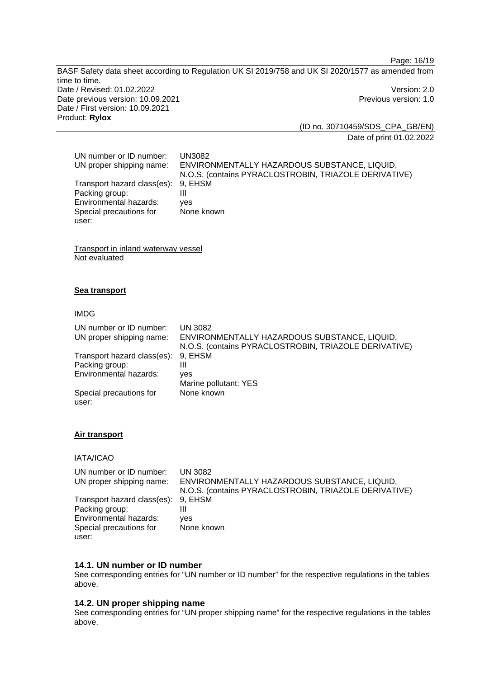Page: 16/19

BASF Safety data sheet according to Regulation UK SI 2019/758 and UK SI 2020/1577 as amended from time to time. Date / Revised: 01.02.2022 Version: 2.0 Date previous version: 10.09.2021 **Previous version: 1.0** Date / First version: 10.09.2021 Product: **Rylox** 

(ID no. 30710459/SDS\_CPA\_GB/EN) Date of print 01.02.2022

| UN number or ID number:             | UN3082                                                |
|-------------------------------------|-------------------------------------------------------|
| UN proper shipping name:            | ENVIRONMENTALLY HAZARDOUS SUBSTANCE, LIQUID,          |
|                                     | N.O.S. (contains PYRACLOSTROBIN, TRIAZOLE DERIVATIVE) |
| Transport hazard class(es): 9, EHSM |                                                       |
| Packing group:                      | Ш                                                     |
| Environmental hazards:              | ves                                                   |
| Special precautions for             | None known                                            |
| user:                               |                                                       |

Transport in inland waterway vessel Not evaluated

#### **Sea transport**

#### IMDG

| UN number or ID number:          | <b>UN 3082</b>                                        |
|----------------------------------|-------------------------------------------------------|
| UN proper shipping name:         | ENVIRONMENTALLY HAZARDOUS SUBSTANCE, LIQUID,          |
|                                  | N.O.S. (contains PYRACLOSTROBIN, TRIAZOLE DERIVATIVE) |
| Transport hazard class(es):      | 9. EHSM                                               |
| Packing group:                   | Ш                                                     |
| Environmental hazards:           | ves                                                   |
|                                  | Marine pollutant: YES                                 |
| Special precautions for<br>user: | None known                                            |

#### **Air transport**

## IATA/ICAO

| UN number or ID number:<br>UN proper shipping name: | UN 3082<br>ENVIRONMENTALLY HAZARDOUS SUBSTANCE, LIQUID,<br>N.O.S. (contains PYRACLOSTROBIN, TRIAZOLE DERIVATIVE) |
|-----------------------------------------------------|------------------------------------------------------------------------------------------------------------------|
| Transport hazard class(es):                         | 9. EHSM                                                                                                          |
| Packing group:                                      |                                                                                                                  |
| Environmental hazards:                              | ves                                                                                                              |
| Special precautions for                             | None known                                                                                                       |
| user:                                               |                                                                                                                  |

#### **14.1. UN number or ID number**

See corresponding entries for "UN number or ID number" for the respective regulations in the tables above.

## **14.2. UN proper shipping name**

See corresponding entries for "UN proper shipping name" for the respective regulations in the tables above.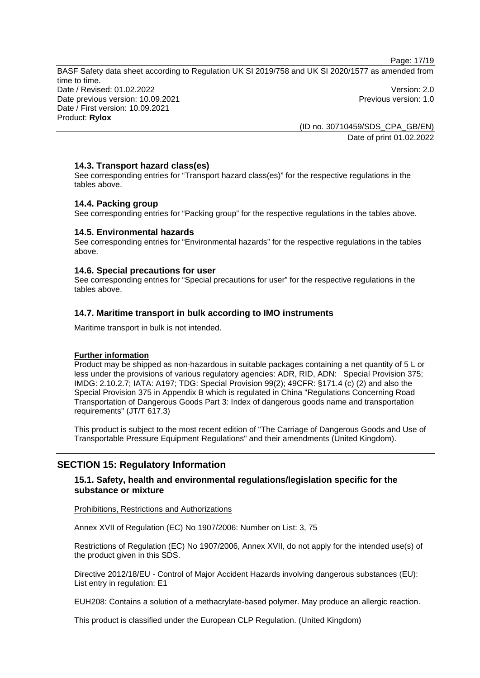Page: 17/19

BASF Safety data sheet according to Regulation UK SI 2019/758 and UK SI 2020/1577 as amended from time to time. Date / Revised: 01.02.2022 Version: 2.0 Date previous version: 10.09.2021 **Date previous version: 1.0** Date / First version: 10.09.2021 Product: **Rylox** 

(ID no. 30710459/SDS\_CPA\_GB/EN) Date of print 01.02.2022

## **14.3. Transport hazard class(es)**

See corresponding entries for "Transport hazard class(es)" for the respective regulations in the tables above.

## **14.4. Packing group**

See corresponding entries for "Packing group" for the respective regulations in the tables above.

#### **14.5. Environmental hazards**

See corresponding entries for "Environmental hazards" for the respective regulations in the tables above.

#### **14.6. Special precautions for user**

See corresponding entries for "Special precautions for user" for the respective regulations in the tables above.

#### **14.7. Maritime transport in bulk according to IMO instruments**

Maritime transport in bulk is not intended.

#### **Further information**

Product may be shipped as non-hazardous in suitable packages containing a net quantity of 5 L or less under the provisions of various regulatory agencies: ADR, RID, ADN: Special Provision 375; IMDG: 2.10.2.7; IATA: A197; TDG: Special Provision 99(2); 49CFR: §171.4 (c) (2) and also the Special Provision 375 in Appendix B which is regulated in China "Regulations Concerning Road Transportation of Dangerous Goods Part 3: Index of dangerous goods name and transportation requirements" (JT/T 617.3)

This product is subject to the most recent edition of "The Carriage of Dangerous Goods and Use of Transportable Pressure Equipment Regulations" and their amendments (United Kingdom).

# **SECTION 15: Regulatory Information**

## **15.1. Safety, health and environmental regulations/legislation specific for the substance or mixture**

#### Prohibitions, Restrictions and Authorizations

Annex XVII of Regulation (EC) No 1907/2006: Number on List: 3, 75

Restrictions of Regulation (EC) No 1907/2006, Annex XVII, do not apply for the intended use(s) of the product given in this SDS.

Directive 2012/18/EU - Control of Major Accident Hazards involving dangerous substances (EU): List entry in regulation: E1

EUH208: Contains a solution of a methacrylate-based polymer. May produce an allergic reaction.

This product is classified under the European CLP Regulation. (United Kingdom)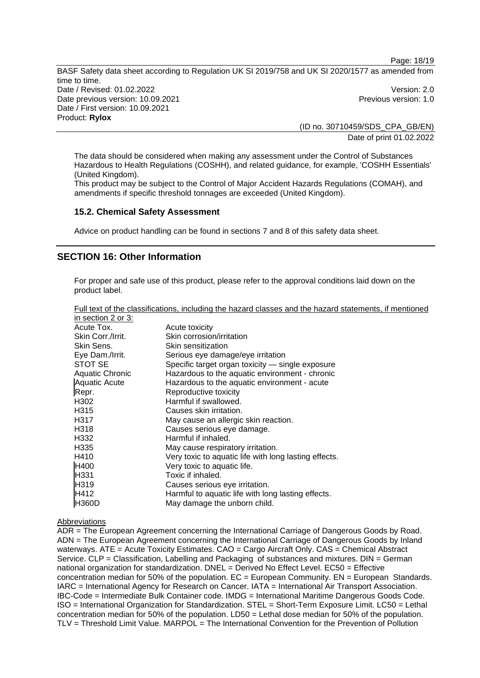Page: 18/19 BASF Safety data sheet according to Regulation UK SI 2019/758 and UK SI 2020/1577 as amended from Date / Revised: 01.02.2022 Version: 2.0

time to time. Date previous version: 10.09.2021 **Date previous version: 1.0** Date / First version: 10.09.2021 Product: **Rylox** 

(ID no. 30710459/SDS\_CPA\_GB/EN)

Date of print 01.02.2022

The data should be considered when making any assessment under the Control of Substances Hazardous to Health Regulations (COSHH), and related guidance, for example, 'COSHH Essentials' (United Kingdom).

This product may be subject to the Control of Major Accident Hazards Regulations (COMAH), and amendments if specific threshold tonnages are exceeded (United Kingdom).

#### **15.2. Chemical Safety Assessment**

Advice on product handling can be found in sections 7 and 8 of this safety data sheet.

## **SECTION 16: Other Information**

For proper and safe use of this product, please refer to the approval conditions laid down on the product label.

| Full text of the classifications, including the hazard classes and the hazard statements, if mentioned |  |  |  |
|--------------------------------------------------------------------------------------------------------|--|--|--|
| in section 2 or 3:                                                                                     |  |  |  |

| $\overline{a}$ is a coupling to the set of $\overline{b}$ . |                                                       |
|-------------------------------------------------------------|-------------------------------------------------------|
| Acute Tox.                                                  | Acute toxicity                                        |
| Skin Corr./Irrit.                                           | Skin corrosion/irritation                             |
| Skin Sens.                                                  | Skin sensitization                                    |
| Eye Dam./Irrit.                                             | Serious eye damage/eye irritation                     |
| STOT SE                                                     | Specific target organ toxicity - single exposure      |
| <b>Aquatic Chronic</b>                                      | Hazardous to the aquatic environment - chronic        |
| <b>Aquatic Acute</b>                                        | Hazardous to the aquatic environment - acute          |
| Repr.                                                       | Reproductive toxicity                                 |
| H302                                                        | Harmful if swallowed.                                 |
| H315                                                        | Causes skin irritation.                               |
| H317                                                        | May cause an allergic skin reaction.                  |
| H318                                                        | Causes serious eye damage.                            |
| H332                                                        | Harmful if inhaled.                                   |
| H <sub>335</sub>                                            | May cause respiratory irritation.                     |
| H410                                                        | Very toxic to aquatic life with long lasting effects. |
| H400                                                        | Very toxic to aquatic life.                           |
| H331                                                        | Toxic if inhaled.                                     |
| H319                                                        | Causes serious eye irritation.                        |
| H412                                                        | Harmful to aquatic life with long lasting effects.    |
| <b>H360D</b>                                                | May damage the unborn child.                          |

#### Abbreviations

ADR = The European Agreement concerning the International Carriage of Dangerous Goods by Road. ADN = The European Agreement concerning the International Carriage of Dangerous Goods by Inland waterways. ATE = Acute Toxicity Estimates. CAO = Cargo Aircraft Only. CAS = Chemical Abstract Service. CLP = Classification, Labelling and Packaging of substances and mixtures. DIN = German national organization for standardization. DNEL = Derived No Effect Level.  $EC50$  = Effective concentration median for 50% of the population.  $EC = European Community$ .  $EN = European StandardS$ . IARC = International Agency for Research on Cancer. IATA = International Air Transport Association. IBC-Code = Intermediate Bulk Container code. IMDG = International Maritime Dangerous Goods Code. ISO = International Organization for Standardization. STEL = Short-Term Exposure Limit. LC50 = Lethal concentration median for 50% of the population. LD50 = Lethal dose median for 50% of the population. TLV = Threshold Limit Value. MARPOL = The International Convention for the Prevention of Pollution